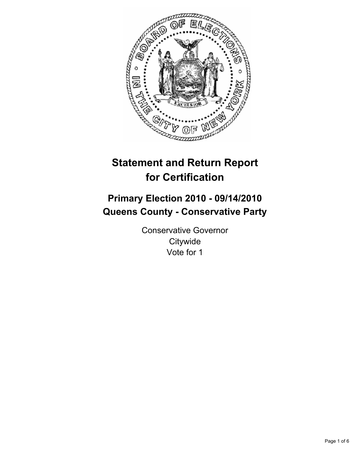

# **Statement and Return Report for Certification**

# **Primary Election 2010 - 09/14/2010 Queens County - Conservative Party**

Conservative Governor **Citywide** Vote for 1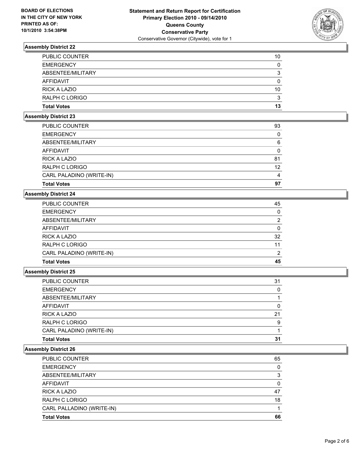

| <b>Total Votes</b>    | 13 |
|-----------------------|----|
| RALPH C LORIGO        | 3  |
| RICK A LAZIO          | 10 |
| AFFIDAVIT             | 0  |
| ABSENTEE/MILITARY     | 3  |
| <b>EMERGENCY</b>      | 0  |
| <b>PUBLIC COUNTER</b> | 10 |

#### **Assembly District 23**

| <b>Total Votes</b>       | 97 |
|--------------------------|----|
| CARL PALADINO (WRITE-IN) | 4  |
| RALPH C LORIGO           | 12 |
| <b>RICK A LAZIO</b>      | 81 |
| AFFIDAVIT                | 0  |
| ABSENTEE/MILITARY        | 6  |
| <b>EMERGENCY</b>         | 0  |
| PUBLIC COUNTER           | 93 |

# **Assembly District 24**

| PUBLIC COUNTER           | 45            |
|--------------------------|---------------|
| <b>EMERGENCY</b>         | 0             |
| ABSENTEE/MILITARY        | 2             |
| AFFIDAVIT                | 0             |
| <b>RICK A LAZIO</b>      | 32            |
| RALPH C LORIGO           | 11            |
| CARL PALADINO (WRITE-IN) | $\mathcal{P}$ |
| <b>Total Votes</b>       | 45            |

# **Assembly District 25**

| <b>Total Votes</b>       | 31 |
|--------------------------|----|
| CARL PALADINO (WRITE-IN) |    |
| <b>RALPH C LORIGO</b>    | 9  |
| RICK A LAZIO             | 21 |
| <b>AFFIDAVIT</b>         | 0  |
| ABSENTEE/MILITARY        |    |
| <b>EMERGENCY</b>         | 0  |
| PUBLIC COUNTER           | 31 |

| <b>Total Votes</b>        | 66 |
|---------------------------|----|
| CARL PALLADINO (WRITE-IN) |    |
| <b>RALPH C LORIGO</b>     | 18 |
| <b>RICK A LAZIO</b>       | 47 |
| <b>AFFIDAVIT</b>          | 0  |
| ABSENTEE/MILITARY         | 3  |
| <b>EMERGENCY</b>          | 0  |
| <b>PUBLIC COUNTER</b>     | 65 |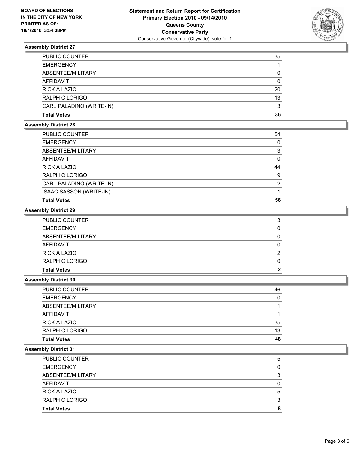

| AFFIDAVIT<br><b>RICK A LAZIO</b> | 0<br>20 |
|----------------------------------|---------|
| RALPH C LORIGO                   | 13      |
| CARL PALADINO (WRITE-IN)         | 3       |
| <b>Total Votes</b>               | 36      |

# **Assembly District 28**

| <b>PUBLIC COUNTER</b>          | 54            |
|--------------------------------|---------------|
| <b>EMERGENCY</b>               | 0             |
| ABSENTEE/MILITARY              | 3             |
| <b>AFFIDAVIT</b>               | 0             |
| <b>RICK A LAZIO</b>            | 44            |
| RALPH C LORIGO                 | 9             |
| CARL PALADINO (WRITE-IN)       | $\mathcal{P}$ |
| <b>ISAAC SASSON (WRITE-IN)</b> |               |
| <b>Total Votes</b>             | 56            |

# **Assembly District 29**

| <b>Total Votes</b>  | 2 |
|---------------------|---|
| RALPH C LORIGO      | 0 |
| <b>RICK A LAZIO</b> | 2 |
| <b>AFFIDAVIT</b>    | 0 |
| ABSENTEE/MILITARY   | 0 |
| <b>EMERGENCY</b>    | 0 |
| PUBLIC COUNTER      | 3 |

## **Assembly District 30**

| <b>Total Votes</b>    | 48 |
|-----------------------|----|
| <b>RALPH C LORIGO</b> | 13 |
| <b>RICK A LAZIO</b>   | 35 |
| AFFIDAVIT             |    |
| ABSENTEE/MILITARY     |    |
| <b>EMERGENCY</b>      | 0  |
| <b>PUBLIC COUNTER</b> | 46 |

| <b>Total Votes</b>    | 8 |
|-----------------------|---|
| RALPH C LORIGO        | 3 |
| <b>RICK A LAZIO</b>   | 5 |
| AFFIDAVIT             | 0 |
| ABSENTEE/MILITARY     | 3 |
| <b>EMERGENCY</b>      | 0 |
| <b>PUBLIC COUNTER</b> | 5 |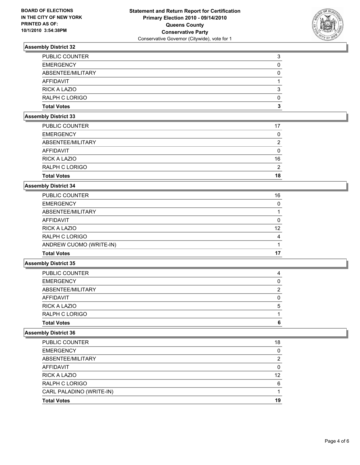

| <b>Total Votes</b>    | 3 |
|-----------------------|---|
| RALPH C LORIGO        | 0 |
| <b>RICK A LAZIO</b>   | 3 |
| AFFIDAVIT             |   |
| ABSENTEE/MILITARY     | 0 |
| <b>EMERGENCY</b>      | 0 |
| <b>PUBLIC COUNTER</b> | 3 |

#### **Assembly District 33**

| 2  |
|----|
| 16 |
| 0  |
| 2  |
| 0  |
| 17 |
|    |

## **Assembly District 34**

| <b>PUBLIC COUNTER</b>   | 16 |
|-------------------------|----|
| <b>EMERGENCY</b>        | 0  |
| ABSENTEE/MILITARY       |    |
| AFFIDAVIT               | 0  |
| <b>RICK A LAZIO</b>     | 12 |
| <b>RALPH C LORIGO</b>   | 4  |
| ANDREW CUOMO (WRITE-IN) |    |
| <b>Total Votes</b>      | 17 |

# **Assembly District 35**

| <b>Total Votes</b>    | 6 |
|-----------------------|---|
| RALPH C LORIGO        |   |
| RICK A LAZIO          | 5 |
| AFFIDAVIT             | 0 |
| ABSENTEE/MILITARY     | 2 |
| <b>EMERGENCY</b>      | 0 |
| <b>PUBLIC COUNTER</b> | 4 |

| <b>Total Votes</b>       | 19 |
|--------------------------|----|
| CARL PALADINO (WRITE-IN) |    |
| RALPH C LORIGO           | 6  |
| RICK A LAZIO             | 12 |
| <b>AFFIDAVIT</b>         | 0  |
| ABSENTEE/MILITARY        | 2  |
| <b>EMERGENCY</b>         | 0  |
| <b>PUBLIC COUNTER</b>    | 18 |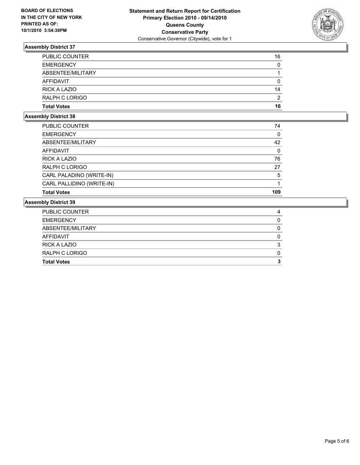

| <b>PUBLIC COUNTER</b> | 16 |
|-----------------------|----|
| <b>EMERGENCY</b>      | 0  |
| ABSENTEE/MILITARY     |    |
| AFFIDAVIT             | 0  |
| <b>RICK A LAZIO</b>   | 14 |
| RALPH C LORIGO        | 2  |
| <b>Total Votes</b>    | 16 |

## **Assembly District 38**

| <b>Total Votes</b>        | 109 |
|---------------------------|-----|
| CARL PALLIDINO (WRITE-IN) |     |
| CARL PALADINO (WRITE-IN)  | 5   |
| RALPH C LORIGO            | 27  |
| <b>RICK A LAZIO</b>       | 76  |
| <b>AFFIDAVIT</b>          | 0   |
| ABSENTEE/MILITARY         | 42  |
| <b>EMERGENCY</b>          | 0   |
| PUBLIC COUNTER            | 74  |

| <b>Total Votes</b>  | з |
|---------------------|---|
| RALPH C LORIGO      | 0 |
| <b>RICK A LAZIO</b> | 3 |
| AFFIDAVIT           | 0 |
| ABSENTEE/MILITARY   | 0 |
| <b>EMERGENCY</b>    | 0 |
| PUBLIC COUNTER      | 4 |